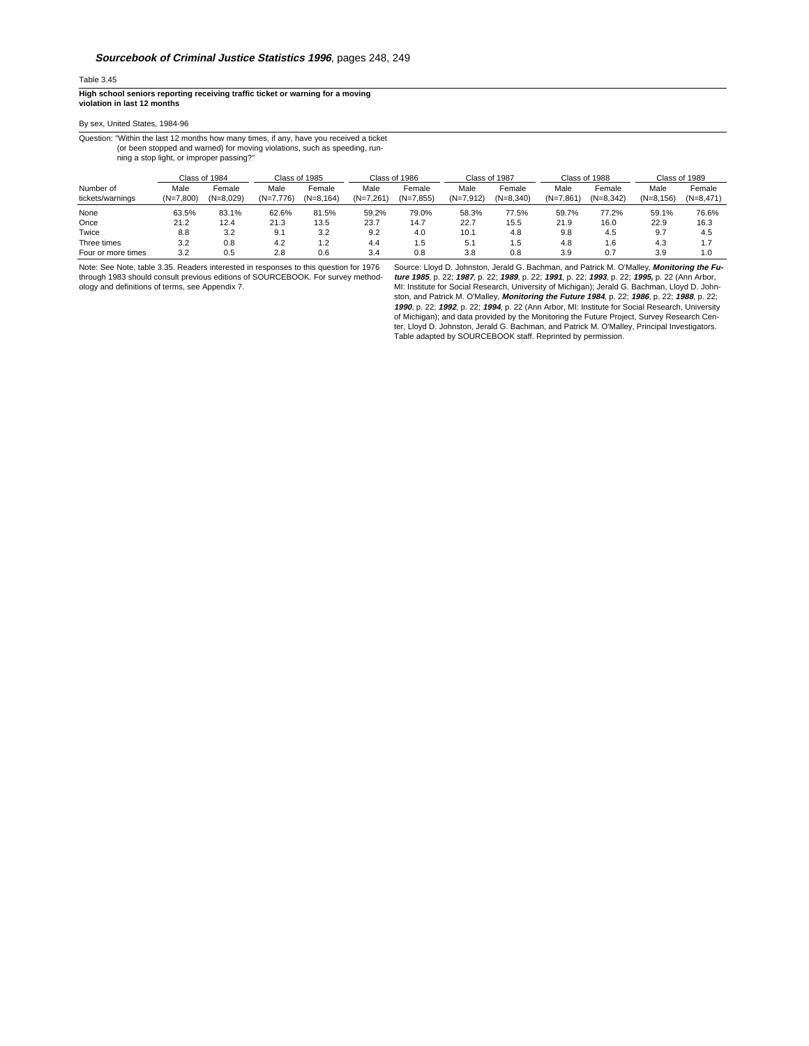## Table 3.45

**High school seniors reporting receiving traffic ticket or warning for a moving violation in last 12 months**

## By sex, United States, 1984-96

Question: "Within the last 12 months how many times, if any, have you received a ticket (or been stopped and warned) for moving violations, such as speeding, run-

ning a stop light, or improper passing?"

|                               | Class of 1984       |                       | Class of 1985       |                       | Class of 1986       |                       | Class of 1987       |                       | Class of 1988       |                       | Class of 1989       |                       |
|-------------------------------|---------------------|-----------------------|---------------------|-----------------------|---------------------|-----------------------|---------------------|-----------------------|---------------------|-----------------------|---------------------|-----------------------|
| Number of<br>tickets/warnings | Male<br>$(N=7.800)$ | Female<br>$(N=8.029)$ | Male<br>$(N=7.776)$ | Female<br>$(N=8.164)$ | Male<br>$(N=7.261)$ | Female<br>$(N=7.855)$ | Male<br>$(N=7.912)$ | Female<br>$(N=8.340)$ | Male<br>$(N=7.861)$ | Female<br>$(N=8.342)$ | Male<br>$(N=8.156)$ | Female<br>$(N=8.471)$ |
| None                          | 63.5%               | 83.1%                 | 62.6%               | 81.5%                 | 59.2%               | 79.0%                 | 58.3%               | 77.5%                 | 59.7%               | 77.2%                 | 59.1%               | 76.6%                 |
| Once                          | 21.2                | 12.4                  | 21.3                | 13.5                  | 23.7                | 14.7                  | 22.7                | 15.5                  | 21.9                | 16.0                  | 22.9                | 16.3                  |
| Twice                         | 8.8                 | 3.2                   | 9.1                 | 3.2                   | 9.2                 | 4.0                   | 10.1                | 4.8                   | 9.8                 | 4.5                   | 9.7                 | 4.5                   |
| Three times                   | 3.2                 | 0.8                   | 4.2                 | 1.2                   | 4.4                 | 5. ا                  | 5.1                 | 1.5                   | 4.8                 | . 6                   | 4.3                 | 1.7                   |
| Four or more times            | 3.2                 | 0.5                   | 2.8                 | 0.6                   | 3.4                 | 0.8                   | 3.8                 | 0.8                   | 3.9                 | 0.7                   | 3.9                 | 1.0                   |

Note: See Note, table 3.35. Readers interested in responses to this question for 1976 through 1983 should consult previous editions of SOURCEBOOK. For survey method-ology and definitions of terms, see Appendix 7.

Source: Lloyd D. Johnston, Jerald G. Bachman, and Patrick M. O'Malley, **Monitoring the Fu***ture 1985*, p. 22; *1987*, p. 22; *1989*, p. 22; *1991*, p. 22; *1993*, p. 22; *1995,* p. 22 (Ann Arbor,<br>MI: Institute for Social Research, University of Michigan); Jerald G. Bachman, Lloyd D. John.<br>ston, and Patrick M. O **1990**, p. 22; **1992**, p. 22; **1994**, p. 22 (Ann Arbor, MI: Institute for Social Research, University of Michigan); and data provided by the Monitoring the Future Project, Survey Research Center, Lloyd D. Johnston, Jerald G. Bachman, and Patrick M. O'Malley, Principal Investigators. Table adapted by SOURCEBOOK staff. Reprinted by permission.